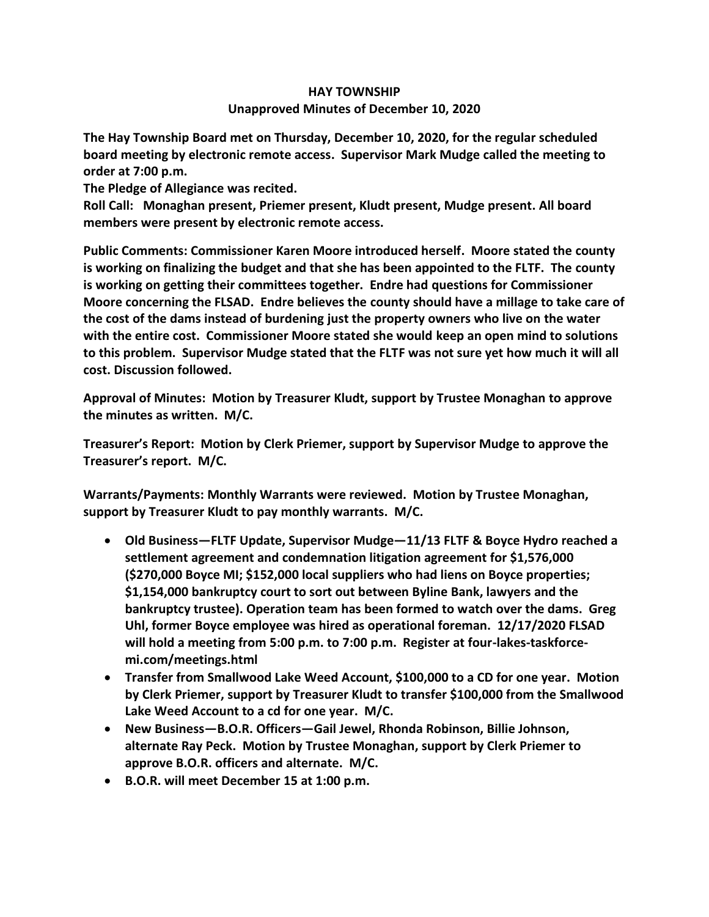## **HAY TOWNSHIP Unapproved Minutes of December 10, 2020**

**The Hay Township Board met on Thursday, December 10, 2020, for the regular scheduled board meeting by electronic remote access. Supervisor Mark Mudge called the meeting to order at 7:00 p.m.** 

**The Pledge of Allegiance was recited.** 

**Roll Call: Monaghan present, Priemer present, Kludt present, Mudge present. All board members were present by electronic remote access.**

**Public Comments: Commissioner Karen Moore introduced herself. Moore stated the county is working on finalizing the budget and that she has been appointed to the FLTF. The county is working on getting their committees together. Endre had questions for Commissioner Moore concerning the FLSAD. Endre believes the county should have a millage to take care of the cost of the dams instead of burdening just the property owners who live on the water with the entire cost. Commissioner Moore stated she would keep an open mind to solutions to this problem. Supervisor Mudge stated that the FLTF was not sure yet how much it will all cost. Discussion followed.**

**Approval of Minutes: Motion by Treasurer Kludt, support by Trustee Monaghan to approve the minutes as written. M/C.**

**Treasurer's Report: Motion by Clerk Priemer, support by Supervisor Mudge to approve the Treasurer's report. M/C.**

**Warrants/Payments: Monthly Warrants were reviewed. Motion by Trustee Monaghan, support by Treasurer Kludt to pay monthly warrants. M/C.**

- **Old Business—FLTF Update, Supervisor Mudge—11/13 FLTF & Boyce Hydro reached a settlement agreement and condemnation litigation agreement for \$1,576,000 (\$270,000 Boyce MI; \$152,000 local suppliers who had liens on Boyce properties; \$1,154,000 bankruptcy court to sort out between Byline Bank, lawyers and the bankruptcy trustee). Operation team has been formed to watch over the dams. Greg Uhl, former Boyce employee was hired as operational foreman. 12/17/2020 FLSAD will hold a meeting from 5:00 p.m. to 7:00 p.m. Register at four-lakes-taskforcemi.com/meetings.html**
- **Transfer from Smallwood Lake Weed Account, \$100,000 to a CD for one year. Motion by Clerk Priemer, support by Treasurer Kludt to transfer \$100,000 from the Smallwood Lake Weed Account to a cd for one year. M/C.**
- **New Business—B.O.R. Officers—Gail Jewel, Rhonda Robinson, Billie Johnson, alternate Ray Peck. Motion by Trustee Monaghan, support by Clerk Priemer to approve B.O.R. officers and alternate. M/C.**
- **B.O.R. will meet December 15 at 1:00 p.m.**